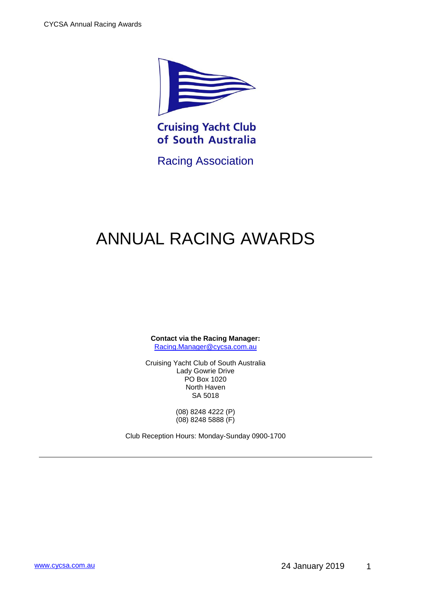

**Cruising Yacht Club** of South Australia

Racing Association

# ANNUAL RACING AWARDS

**Contact via the Racing Manager:** [Racing.Manager@cycsa.com.au](mailto:Racing.Manager@cycsa.com.au)

Cruising Yacht Club of South Australia Lady Gowrie Drive PO Box 1020 North Haven SA 5018

> (08) 8248 4222 (P) (08) 8248 5888 (F)

Club Reception Hours: Monday-Sunday 0900-1700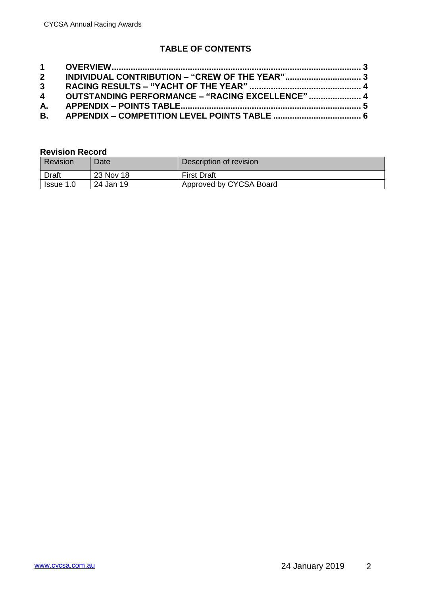## **TABLE OF CONTENTS**

| 2 INDIVIDUAL CONTRIBUTION - "CREW OF THE YEAR"     |  |
|----------------------------------------------------|--|
|                                                    |  |
| 4 OUTSTANDING PERFORMANCE - "RACING EXCELLENCE"  4 |  |
|                                                    |  |
|                                                    |  |

#### **Revision Record**

| Revision  | Date <sup>®</sup> | Description of revision |
|-----------|-------------------|-------------------------|
| Draft     | 23 Nov 18         | <b>First Draft</b>      |
| Issue 1.0 | 24 Jan 19         | Approved by CYCSA Board |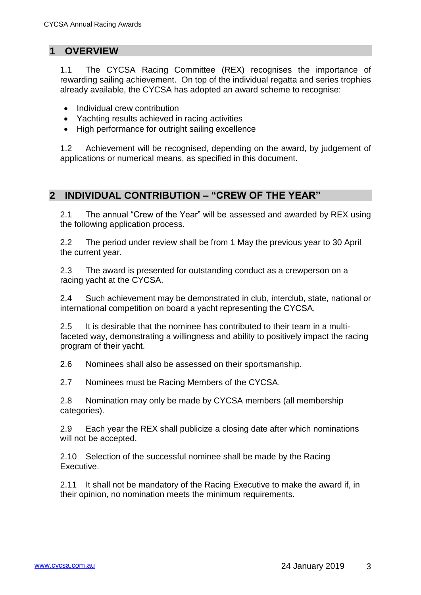#### <span id="page-2-0"></span>**1 OVERVIEW**

1.1 The CYCSA Racing Committee (REX) recognises the importance of rewarding sailing achievement. On top of the individual regatta and series trophies already available, the CYCSA has adopted an award scheme to recognise:

- Individual crew contribution
- Yachting results achieved in racing activities
- High performance for outright sailing excellence

1.2 Achievement will be recognised, depending on the award, by judgement of applications or numerical means, as specified in this document.

#### <span id="page-2-1"></span>**2 INDIVIDUAL CONTRIBUTION – "CREW OF THE YEAR"**

2.1 The annual "Crew of the Year" will be assessed and awarded by REX using the following application process.

2.2 The period under review shall be from 1 May the previous year to 30 April the current year.

2.3 The award is presented for outstanding conduct as a crewperson on a racing yacht at the CYCSA.

2.4 Such achievement may be demonstrated in club, interclub, state, national or international competition on board a yacht representing the CYCSA.

2.5 It is desirable that the nominee has contributed to their team in a multifaceted way, demonstrating a willingness and ability to positively impact the racing program of their yacht.

2.6 Nominees shall also be assessed on their sportsmanship.

2.7 Nominees must be Racing Members of the CYCSA.

2.8 Nomination may only be made by CYCSA members (all membership categories).

2.9 Each year the REX shall publicize a closing date after which nominations will not be accepted.

2.10 Selection of the successful nominee shall be made by the Racing Executive.

2.11 It shall not be mandatory of the Racing Executive to make the award if, in their opinion, no nomination meets the minimum requirements.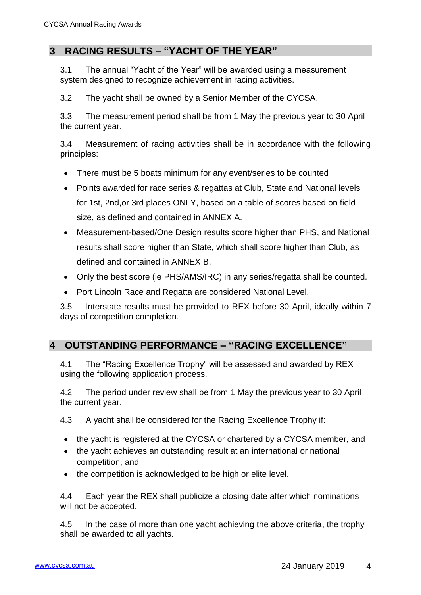## <span id="page-3-0"></span>**3 RACING RESULTS – "YACHT OF THE YEAR"**

3.1 The annual "Yacht of the Year" will be awarded using a measurement system designed to recognize achievement in racing activities.

3.2 The yacht shall be owned by a Senior Member of the CYCSA.

3.3 The measurement period shall be from 1 May the previous year to 30 April the current year.

3.4 Measurement of racing activities shall be in accordance with the following principles:

- There must be 5 boats minimum for any event/series to be counted
- Points awarded for race series & regattas at Club, State and National levels for 1st, 2nd,or 3rd places ONLY, based on a table of scores based on field size, as defined and contained in ANNEX [A.](#page-4-0)
- Measurement-based/One Design results score higher than PHS, and National results shall score higher than State, which shall score higher than Club, as defined and contained in ANNEX [B.](#page-5-0)
- Only the best score (ie PHS/AMS/IRC) in any series/regatta shall be counted.
- Port Lincoln Race and Regatta are considered National Level.

3.5 Interstate results must be provided to REX before 30 April, ideally within 7 days of competition completion.

#### <span id="page-3-1"></span>**4 OUTSTANDING PERFORMANCE – "RACING EXCELLENCE"**

4.1 The "Racing Excellence Trophy" will be assessed and awarded by REX using the following application process.

4.2 The period under review shall be from 1 May the previous year to 30 April the current year.

4.3 A yacht shall be considered for the Racing Excellence Trophy if:

- the yacht is registered at the CYCSA or chartered by a CYCSA member, and
- the yacht achieves an outstanding result at an international or national competition, and
- the competition is acknowledged to be high or elite level.

4.4 Each year the REX shall publicize a closing date after which nominations will not be accepted.

4.5 In the case of more than one yacht achieving the above criteria, the trophy shall be awarded to all yachts.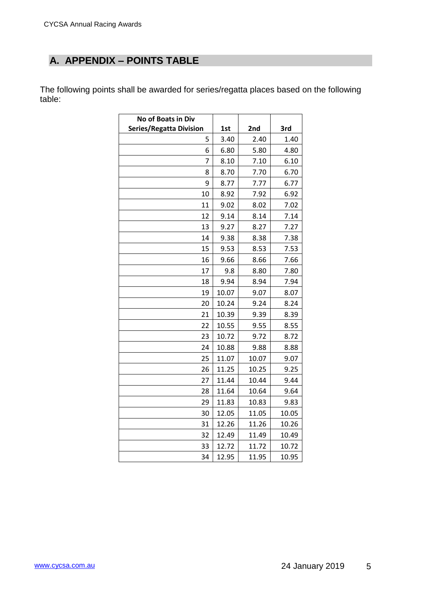# <span id="page-4-0"></span>**A. APPENDIX – POINTS TABLE**

The following points shall be awarded for series/regatta places based on the following table:

| No of Boats in Div             |       |       |       |
|--------------------------------|-------|-------|-------|
| <b>Series/Regatta Division</b> | 1st   | 2nd   | 3rd   |
| 5                              | 3.40  | 2.40  | 1.40  |
| 6                              | 6.80  | 5.80  | 4.80  |
| 7                              | 8.10  | 7.10  | 6.10  |
| 8                              | 8.70  | 7.70  | 6.70  |
| 9                              | 8.77  | 7.77  | 6.77  |
| 10                             | 8.92  | 7.92  | 6.92  |
| 11                             | 9.02  | 8.02  | 7.02  |
| 12                             | 9.14  | 8.14  | 7.14  |
| 13                             | 9.27  | 8.27  | 7.27  |
| 14                             | 9.38  | 8.38  | 7.38  |
| 15                             | 9.53  | 8.53  | 7.53  |
| 16                             | 9.66  | 8.66  | 7.66  |
| 17                             | 9.8   | 8.80  | 7.80  |
| 18                             | 9.94  | 8.94  | 7.94  |
| 19                             | 10.07 | 9.07  | 8.07  |
| 20                             | 10.24 | 9.24  | 8.24  |
| 21                             | 10.39 | 9.39  | 8.39  |
| 22                             | 10.55 | 9.55  | 8.55  |
| 23                             | 10.72 | 9.72  | 8.72  |
| 24                             | 10.88 | 9.88  | 8.88  |
| 25                             | 11.07 | 10.07 | 9.07  |
| 26                             | 11.25 | 10.25 | 9.25  |
| 27                             | 11.44 | 10.44 | 9.44  |
| 28                             | 11.64 | 10.64 | 9.64  |
| 29                             | 11.83 | 10.83 | 9.83  |
| 30                             | 12.05 | 11.05 | 10.05 |
| 31                             | 12.26 | 11.26 | 10.26 |
| 32                             | 12.49 | 11.49 | 10.49 |
| 33                             | 12.72 | 11.72 | 10.72 |
| 34                             | 12.95 | 11.95 | 10.95 |